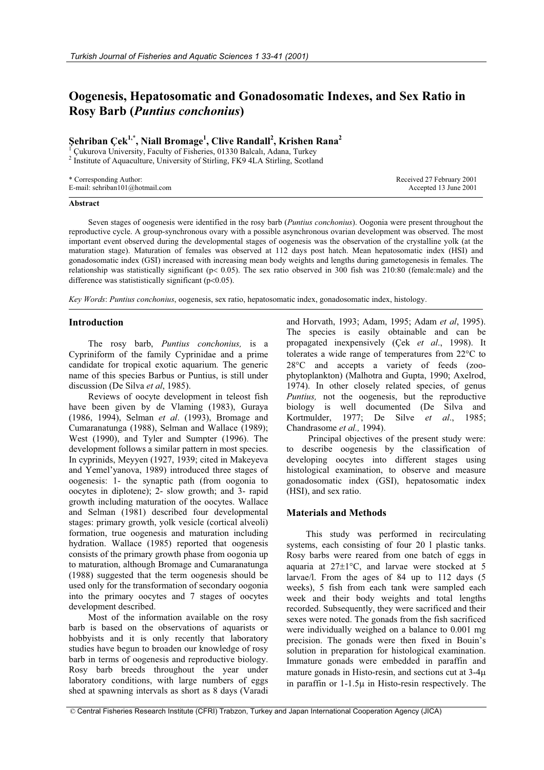# **Oogenesis, Hepatosomatic and Gonadosomatic Indexes, and Sex Ratio in Rosy Barb (***Puntius conchonius***)**

# **ùehriban Çek1,**\* **, Niall Bromage1 , Clive Randall<sup>2</sup> , Krishen Rana<sup>2</sup>**

1 Çukurova University, Faculty of Fisheries, 01330 Balcalı, Adana, Turkey

<sup>2</sup> Institute of Aquaculture, University of Stirling, FK9 4LA Stirling, Scotland

| * Corresponding Author:         | Received 27 February 2001 |
|---------------------------------|---------------------------|
| E-mail: sehriban101@hotmail.com | Accepted 13 June 2001     |

### **Abstract**

Seven stages of oogenesis were identified in the rosy barb (*Puntius conchonius*). Oogonia were present throughout the reproductive cycle. A group-synchronous ovary with a possible asynchronous ovarian development was observed. The most important event observed during the developmental stages of oogenesis was the observation of the crystalline yolk (at the maturation stage). Maturation of females was observed at 112 days post hatch. Mean hepatosomatic index (HSI) and gonadosomatic index (GSI) increased with increasing mean body weights and lengths during gametogenesis in females. The relationship was statistically significant ( $p < 0.05$ ). The sex ratio observed in 300 fish was 210:80 (female:male) and the difference was statististically significant ( $p<0.05$ ).

*Key Words*: *Puntius conchonius*, oogenesis, sex ratio, hepatosomatic index, gonadosomatic index, histology.

# **Introduction**

The rosy barb, *Puntius conchonius,* is a Cypriniform of the family Cyprinidae and a prime candidate for tropical exotic aquarium. The generic name of this species Barbus or Puntius, is still under discussion (De Silva *et al*, 1985).

Reviews of oocyte development in teleost fish have been given by de Vlaming (1983), Guraya (1986, 1994), Selman *et al*. (1993), Bromage and Cumaranatunga (1988), Selman and Wallace (1989); West (1990), and Tyler and Sumpter (1996). The development follows a similar pattern in most species. In cyprinids, Meyyen (1927, 1939; cited in Makeyeva and Yemel'yanova, 1989) introduced three stages of oogenesis: 1- the synaptic path (from oogonia to oocytes in diplotene); 2- slow growth; and 3- rapid growth including maturation of the oocytes. Wallace and Selman (1981) described four developmental stages: primary growth, yolk vesicle (cortical alveoli) formation, true oogenesis and maturation including hydration. Wallace (1985) reported that oogenesis consists of the primary growth phase from oogonia up to maturation, although Bromage and Cumaranatunga (1988) suggested that the term oogenesis should be used only for the transformation of secondary oogonia into the primary oocytes and 7 stages of oocytes development described.

Most of the information available on the rosy barb is based on the observations of aquarists or hobbyists and it is only recently that laboratory studies have begun to broaden our knowledge of rosy barb in terms of oogenesis and reproductive biology. Rosy barb breeds throughout the year under laboratory conditions, with large numbers of eggs shed at spawning intervals as short as 8 days (Varadi

and Horvath, 1993; Adam, 1995; Adam *et al*, 1995). The species is easily obtainable and can be propagated inexpensively (Çek *et al*., 1998). It tolerates a wide range of temperatures from  $22^{\circ}$ C to  $28^{\circ}$ C and accepts a variety of feeds (zoophytoplankton) (Malhotra and Gupta, 1990; Axelrod, 1974). In other closely related species, of genus *Puntius,* not the oogenesis, but the reproductive biology is well documented (De Silva and Kortmulder, 1977; De Silve *et al*., 1985; Chandrasome *et al.,* 1994).

Principal objectives of the present study were: to describe oogenesis by the classification of developing oocytes into different stages using histological examination, to observe and measure gonadosomatic index (GSI), hepatosomatic index (HSI), and sex ratio.

# **Materials and Methods**

This study was performed in recirculating systems, each consisting of four 20 l plastic tanks. Rosy barbs were reared from one batch of eggs in aquaria at  $27\pm1^{\circ}$ C, and larvae were stocked at 5 larvae/l. From the ages of 84 up to 112 days (5 weeks), 5 fish from each tank were sampled each week and their body weights and total lengths recorded. Subsequently, they were sacrificed and their sexes were noted. The gonads from the fish sacrificed were individually weighed on a balance to 0.001 mg precision. The gonads were then fixed in Bouin's solution in preparation for histological examination. Immature gonads were embedded in paraffin and mature gonads in Histo-resin, and sections cut at  $3-4\mu$ in paraffin or  $1-1.5\mu$  in Histo-resin respectively. The

 <sup>©</sup> Central Fisheries Research Institute (CFRI) Trabzon, Turkey and Japan International Cooperation Agency (JICA)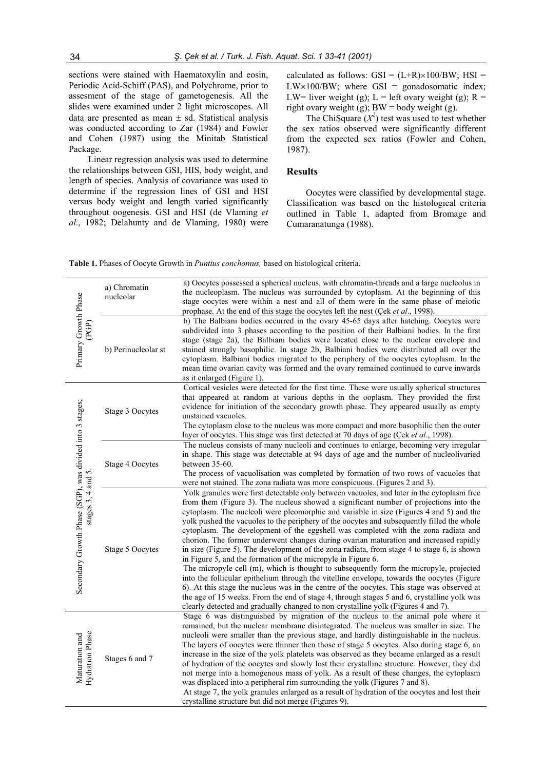sections were stained with Haematoxylin and eosin, Periodic Acid-Schiff (PAS), and Polychrome, prior to assesment of the stage of gametogenesis. All the slides were examined under 2 light microscopes. All data are presented as mean  $\pm$  sd. Statistical analysis was conducted according to Zar (1984) and Fowler and Cohen (1987) using the Minitab Statistical Package.

Linear regression analysis was used to determine the relationships between GSI, HIS, body weight, and length of species. Analysis of covariance was used to determine if the regression lines of GSI and HSI versus body weight and length varied significantly throughout oogenesis. GSI and HSI (de Vlaming *et al*., 1982; Delahunty and de Vlaming, 1980) were calculated as follows:  $GSI = (L+R) \times 100/BW$ ; HSI =  $LW \times 100/BW$ ; where GSI = gonadosomatic index; LW= liver weight (g); L = left ovary weight (g); R = right ovary weight (g);  $BW = body$  weight (g).

The ChiSquare  $(X^2)$  test was used to test whether the sex ratios observed were significantly different from the expected sex ratios (Fowler and Cohen, 1987).

#### **Results**

Oocytes were classified by developmental stage. Classification was based on the histological criteria outlined in Table 1, adapted from Bromage and Cumaranatunga (1988).

**Table 1.** Phases of Oocyte Growth in *Puntius conchonıus,* based on histological criteria.

|                                                                               | a) Chromatin<br>nucleolar | a) Oocytes possessed a spherical nucleus, with chromatin-threads and a large nucleolus in<br>the nucleoplasm. The nucleus was surrounded by cytoplasm. At the beginning of this<br>stage oocytes were within a nest and all of them were in the same phase of meiotic<br>prophase. At the end of this stage the oocytes left the nest (Çek et al., 1998).                                                                                                                                                                                                                                                                                                                                                                                                                                                                                                                                                                                                                                                                                                                                                                                                                                          |
|-------------------------------------------------------------------------------|---------------------------|----------------------------------------------------------------------------------------------------------------------------------------------------------------------------------------------------------------------------------------------------------------------------------------------------------------------------------------------------------------------------------------------------------------------------------------------------------------------------------------------------------------------------------------------------------------------------------------------------------------------------------------------------------------------------------------------------------------------------------------------------------------------------------------------------------------------------------------------------------------------------------------------------------------------------------------------------------------------------------------------------------------------------------------------------------------------------------------------------------------------------------------------------------------------------------------------------|
| Primary Growth Phase<br>(PGP)                                                 | b) Perinucleolar st       | b) The Balbiani bodies occurred in the ovary 45-65 days after hatching. Oocytes were<br>subdivided into 3 phases according to the position of their Balbiani bodies. In the first<br>stage (stage 2a), the Balbiani bodies were located close to the nuclear envelope and<br>stained strongly basophilic. In stage 2b, Balbiani bodies were distributed all over the<br>cytoplasm. Balbiani bodies migrated to the periphery of the oocytes cytoplasm. In the<br>mean time ovarian cavity was formed and the ovary remained continued to curve inwards<br>as it enlarged (Figure 1).                                                                                                                                                                                                                                                                                                                                                                                                                                                                                                                                                                                                               |
| Secondary Growth Phase (SGP), was divided into 3 stages;<br>stages 3, 4 and 5 | Stage 3 Oocytes           | Cortical vesicles were detected for the first time. These were usually spherical structures<br>that appeared at random at various depths in the ooplasm. They provided the first<br>evidence for initiation of the secondary growth phase. They appeared usually as empty<br>unstained vacuoles.<br>The cytoplasm close to the nucleus was more compact and more basophilic then the outer<br>layer of oocytes. This stage was first detected at 70 days of age (Çek et al., 1998).                                                                                                                                                                                                                                                                                                                                                                                                                                                                                                                                                                                                                                                                                                                |
|                                                                               | Stage 4 Oocytes           | The nucleus consists of many nucleoli and continues to enlarge, becoming very irregular<br>in shape. This stage was detectable at 94 days of age and the number of nucleolivaried<br>between 35-60.<br>The process of vacuolisation was completed by formation of two rows of vacuoles that<br>were not stained. The zona radiata was more conspicuous. (Figures 2 and 3).                                                                                                                                                                                                                                                                                                                                                                                                                                                                                                                                                                                                                                                                                                                                                                                                                         |
|                                                                               | Stage 5 Oocytes           | Yolk granules were first detectable only between vacuoles, and later in the cytoplasm free<br>from them (Figure 3). The nucleus showed a significant number of projections into the<br>cytoplasm. The nucleoli were pleomorphic and variable in size (Figures 4 and 5) and the<br>yolk pushed the vacuoles to the periphery of the oocytes and subsequently filled the whole<br>cytoplasm. The development of the eggshell was completed with the zona radiata and<br>chorion. The former underwent changes during ovarian maturation and increased rapidly<br>in size (Figure 5). The development of the zona radiata, from stage 4 to stage 6, is shown<br>in Figure 5, and the formation of the micropyle in Figure 6.<br>The micropyle cell (m), which is thought to subsequently form the micropyle, projected<br>into the follicular epithelium through the vitelline envelope, towards the oocytes (Figure<br>6). At this stage the nucleus was in the centre of the oocytes. This stage was observed at<br>the age of 15 weeks. From the end of stage 4, through stages 5 and 6, crystalline yolk was<br>clearly detected and gradually changed to non-crystalline yolk (Figures 4 and 7). |
| Maturation and<br>Hydration Phase                                             | Stages 6 and 7            | Stage 6 was distinguished by migration of the nucleus to the animal pole where it<br>remained, but the nuclear membrane disintegrated. The nucleus was smaller in size. The<br>nucleoli were smaller than the previous stage, and hardly distinguishable in the nucleus.<br>The layers of oocytes were thinner then those of stage 5 oocytes. Also during stage 6, an<br>increase in the size of the yolk platelets was observed as they became enlarged as a result<br>of hydration of the oocytes and slowly lost their crystalline structure. However, they did<br>not merge into a homogenous mass of yolk. As a result of these changes, the cytoplasm<br>was displaced into a peripheral rim surrounding the yolk (Figures 7 and 8).<br>At stage 7, the yolk granules enlarged as a result of hydration of the oocytes and lost their<br>crystalline structure but did not merge (Figures 9).                                                                                                                                                                                                                                                                                                |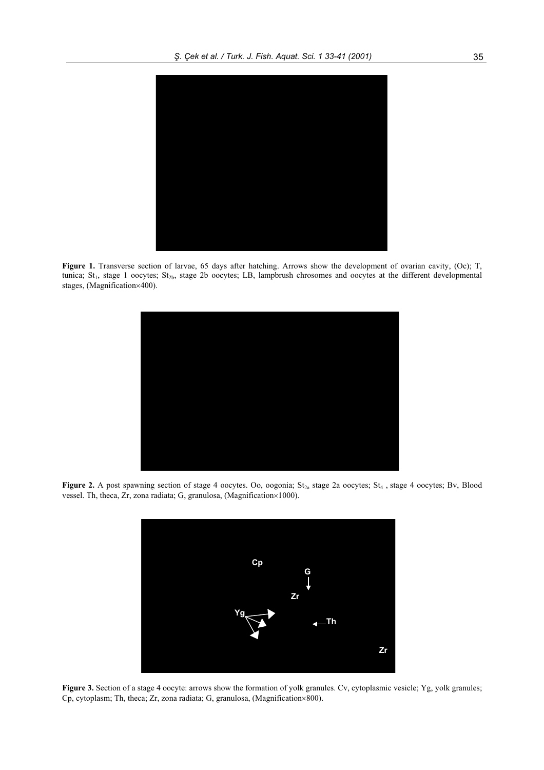

**Figure 1.** Transverse section of larvae, 65 days after hatching. Arrows show the development of ovarian cavity, (Oc); T, tunica;  $St_1$ , stage 1 oocytes;  $St_{2b}$ , stage 2b oocytes; LB, lampbrush chrosomes and oocytes at the different developmental stages, (Magnification×400).



Figure 2. A post spawning section of stage 4 oocytes. Oo, oogonia; St<sub>2a</sub> stage 2a oocytes; St<sub>4</sub>, stage 4 oocytes; Bv, Blood vessel. Th, theca, Zr, zona radiata; G, granulosa, (Magnification×1000).



Figure 3. Section of a stage 4 oocyte: arrows show the formation of yolk granules. Cv, cytoplasmic vesicle; Yg, yolk granules; Cp, cytoplasm; Th, theca; Zr, zona radiata; G, granulosa, (Magnification $\times 800$ ).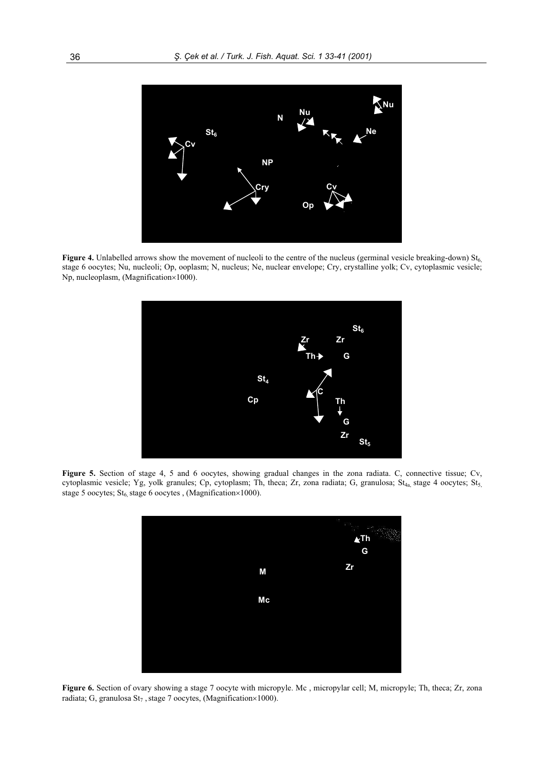

**Figure 4.** Unlabelled arrows show the movement of nucleoli to the centre of the nucleus (germinal vesicle breaking-down)  $St_6$ , stage 6 oocytes; Nu, nucleoli; Op, ooplasm; N, nucleus; Ne, nuclear envelope; Cry, crystalline yolk; Cv, cytoplasmic vesicle; Np, nucleoplasm, (Magnification×1000).



**Figure 5.** Section of stage 4, 5 and 6 oocytes, showing gradual changes in the zona radiata. C, connective tissue; Cv, cytoplasmic vesicle; Yg, yolk granules; Cp, cytoplasm; Th, theca; Zr, zona radiata; G, granulosa; St<sub>4a,</sub> stage 4 oocytes; St<sub>5,</sub> stage 5 oocytes;  $St_{6}$ , stage 6 oocytes , (Magnification×1000).



**Figure 6.** Section of ovary showing a stage 7 oocyte with micropyle. Mc, micropylar cell; M, micropyle; Th, theca; Zr, zona radiata; G, granulosa  $St_7$ , stage 7 oocytes, (Magnification×1000).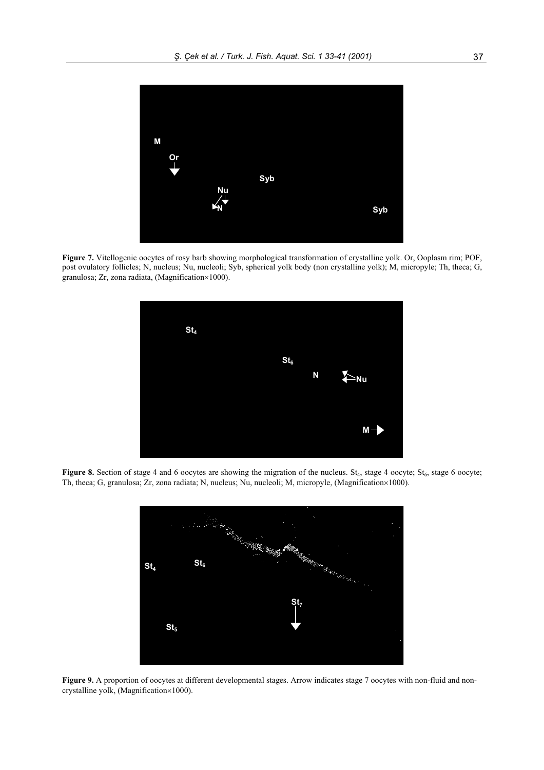

**Figure 7.** Vitellogenic oocytes of rosy barb showing morphological transformation of crystalline yolk. Or, Ooplasm rim; POF, post ovulatory follicles; N, nucleus; Nu, nucleoli; Syb, spherical yolk body (non crystalline yolk); M, micropyle; Th, theca; G, granulosa; Zr, zona radiata, (Magnification $\times$ 1000).



Figure 8. Section of stage 4 and 6 oocytes are showing the migration of the nucleus. St<sub>4</sub>, stage 4 oocyte; St<sub>6</sub>, stage 6 oocyte; Th, theca; G, granulosa; Zr, zona radiata; N, nucleus; Nu, nucleoli; M, micropyle, (Magnification×1000).



Figure 9. A proportion of oocytes at different developmental stages. Arrow indicates stage 7 oocytes with non-fluid and noncrystalline yolk, (Magnification $\times1000$ ).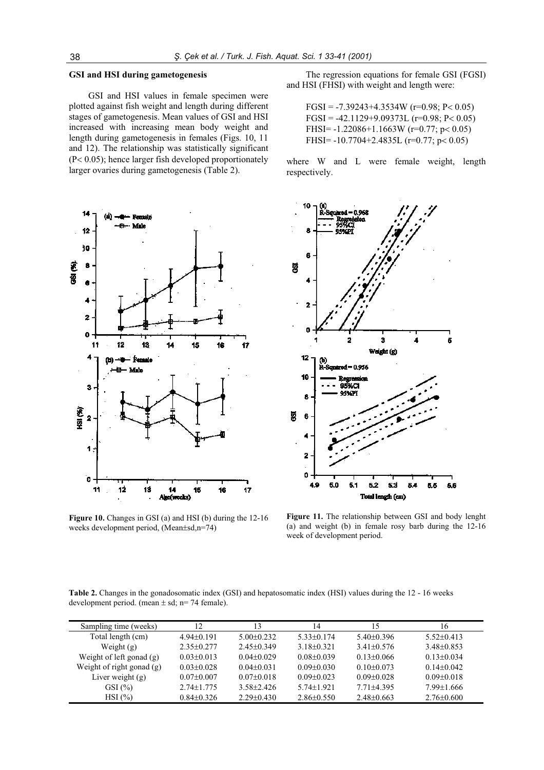## **GSI and HSI during gametogenesis**

GSI and HSI values in female specimen were plotted against fish weight and length during different stages of gametogenesis. Mean values of GSI and HSI increased with increasing mean body weight and length during gametogenesis in females (Figs. 10, 11 and 12). The relationship was statistically significant  $(P< 0.05)$ ; hence larger fish developed proportionately larger ovaries during gametogenesis (Table 2).



**Figure 10.** Changes in GSI (a) and HSI (b) during the 12-16 weeks development period, (Mean±sd,n=74)

The regression equations for female GSI (FGSI) and HSI (FHSI) with weight and length were:

FGSI =  $-7.39243+4.3534W$  (r=0.98; P< 0.05)  $FGSI = -42.1129 + 9.09373L (r=0.98; P<0.05)$ FHSI= $-1.22086+1.1663W$  (r=0.77; p < 0.05) FHSI= $-10.7704+2.4835L$  (r=0.77; p < 0.05)

where W and L were female weight, length respectively.



**Figure 11.** The relationship between GSI and body lenght (a) and weight (b) in female rosy barb during the 12-16 week of development period.

**Table 2.** Changes in the gonadosomatic index (GSI) and hepatosomatic index (HSI) values during the 12 - 16 weeks development period. (mean  $\pm$  sd; n= 74 female).

| Sampling time (weeks)       | 12               | 3                | 14               | 15               | 16               |
|-----------------------------|------------------|------------------|------------------|------------------|------------------|
| Total length (cm)           | $4.94 + 0.191$   | $5.00\pm0.232$   | $5.33\pm0.174$   | $5.40\pm0.396$   | $5.52 \pm 0.413$ |
| Weight $(g)$                | $2.35\pm0.277$   | $2.45 \pm 0.349$ | $3.18 + 0.321$   | $3.41 \pm 0.576$ | $3.48\pm0.853$   |
| Weight of left gonad (g)    | $0.03 \pm 0.013$ | $0.04 + 0.029$   | $0.08 \pm 0.039$ | $0.13 + 0.066$   | $0.13 \pm 0.034$ |
| Weight of right gonad $(g)$ | $0.03 \pm 0.028$ | $0.04\pm0.031$   | $0.09 \pm 0.030$ | $0.10 \pm 0.073$ | $0.14 \pm 0.042$ |
| Liver weight $(g)$          | $0.07 \pm 0.007$ | $0.07 \pm 0.018$ | $0.09 \pm 0.023$ | $0.09 \pm 0.028$ | $0.09 \pm 0.018$ |
| GSI $(\% )$                 | $2.74 \pm 1.775$ | $3.58 \pm 2.426$ | $5.74 \pm 1.921$ | $7.71 + 4.395$   | $7.99 \pm 1.666$ |
| HSI(%)                      | $0.84\pm0.326$   | $2.29 \pm 0.430$ | $2.86\pm0.550$   | $2.48\pm0.663$   | $2.76 \pm 0.600$ |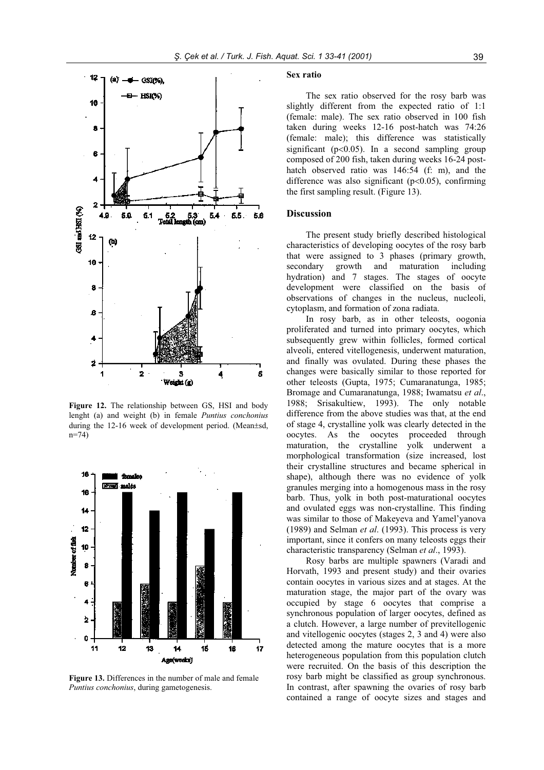

**Figure 12.** The relationship between GS, HSI and body lenght (a) and weight (b) in female *Puntius conchonius* during the 12-16 week of development period. (Mean±sd,  $n=74$ )



**Figure 13.** Differences in the number of male and female *Puntius conchonius*, during gametogenesis.

#### **Sex ratio**

The sex ratio observed for the rosy barb was slightly different from the expected ratio of 1:1 (female: male). The sex ratio observed in 100 fish taken during weeks 12-16 post-hatch was 74:26 (female: male); this difference was statistically significant ( $p<0.05$ ). In a second sampling group composed of 200 fish, taken during weeks 16-24 posthatch observed ratio was 146:54 (f: m), and the difference was also significant ( $p<0.05$ ), confirming the first sampling result. (Figure 13).

#### **Discussion**

The present study briefly described histological characteristics of developing oocytes of the rosy barb that were assigned to 3 phases (primary growth, secondary growth and maturation including hydration) and 7 stages. The stages of oocyte development were classified on the basis of observations of changes in the nucleus, nucleoli, cytoplasm, and formation of zona radiata.

In rosy barb, as in other teleosts, oogonia proliferated and turned into primary oocytes, which subsequently grew within follicles, formed cortical alveoli, entered vitellogenesis, underwent maturation, and finally was ovulated. During these phases the changes were basically similar to those reported for other teleosts (Gupta, 1975; Cumaranatunga, 1985; Bromage and Cumaranatunga, 1988; Iwamatsu *et al*., 1988; Srisakultiew, 1993). The only notable difference from the above studies was that, at the end of stage 4, crystalline yolk was clearly detected in the oocytes. As the oocytes proceeded through maturation, the crystalline yolk underwent a morphological transformation (size increased, lost their crystalline structures and became spherical in shape), although there was no evidence of yolk granules merging into a homogenous mass in the rosy barb. Thus, yolk in both post-maturational oocytes and ovulated eggs was non-crystalline. This finding was similar to those of Makeyeva and Yamel'yanova (1989) and Selman *et al*. (1993). This process is very important, since it confers on many teleosts eggs their characteristic transparency (Selman *et al*., 1993).

Rosy barbs are multiple spawners (Varadi and Horvath, 1993 and present study) and their ovaries contain oocytes in various sizes and at stages. At the maturation stage, the major part of the ovary was occupied by stage 6 oocytes that comprise a synchronous population of larger oocytes, defined as a clutch. However, a large number of previtellogenic and vitellogenic oocytes (stages 2, 3 and 4) were also detected among the mature oocytes that is a more heterogeneous population from this population clutch were recruited. On the basis of this description the rosy barb might be classified as group synchronous. In contrast, after spawning the ovaries of rosy barb contained a range of oocyte sizes and stages and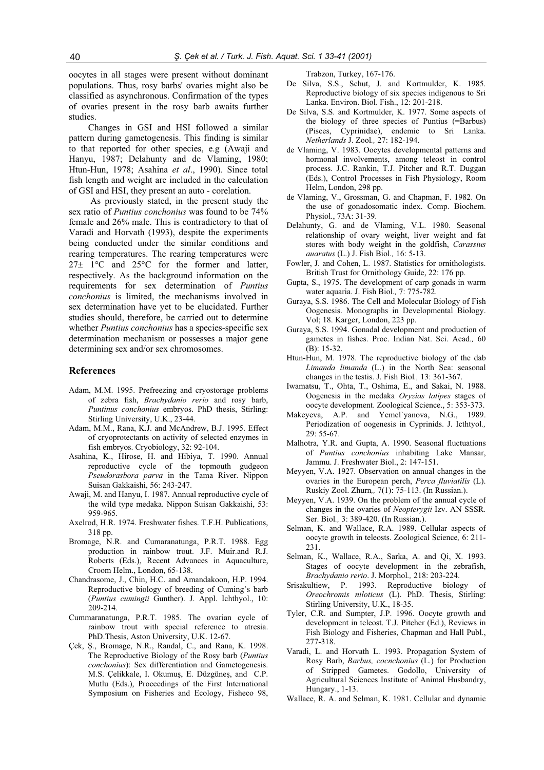oocytes in all stages were present without dominant populations. Thus, rosy barbs' ovaries might also be classified as asynchronous. Confirmation of the types of ovaries present in the rosy barb awaits further studies.

Changes in GSI and HSI followed a similar pattern during gametogenesis. This finding is similar to that reported for other species, e.g (Awaji and Hanyu, 1987; Delahunty and de Vlaming, 1980; Htun-Hun, 1978; Asahina *et al*., 1990). Since total fish length and weight are included in the calculation of GSI and HSI, they present an auto - corelation.

As previously stated, in the present study the sex ratio of *Puntius conchonius* was found to be 74% female and 26% male. This is contradictory to that of Varadi and Horvath (1993), despite the experiments being conducted under the similar conditions and rearing temperatures. The rearing temperatures were  $27\pm$  1°C and 25°C for the former and latter, respectively. As the background information on the requirements for sex determination of *Puntius conchonius* is limited, the mechanisms involved in sex determination have yet to be elucidated. Further studies should, therefore, be carried out to determine whether *Puntius conchonius* has a species-specific sex determination mechanism or possesses a major gene determining sex and/or sex chromosomes.

#### **References**

- Adam, M.M. 1995. Prefreezing and cryostorage problems of zebra fish, *Brachydanio rerio* and rosy barb, *Puntinus conchonius* embryos. PhD thesis, Stirling: Stirling University, U.K., 23-44.
- Adam, M.M., Rana, K.J. and McAndrew, B.J. 1995. Effect of cryoprotectants on activity of selected enzymes in fish embryos. Cryobiology, 32: 92-104.
- Asahina, K., Hirose, H. and Hibiya, T. 1990. Annual reproductive cycle of the topmouth gudgeon *Pseudorasbora parva* in the Tama River. Nippon Suisan Gakkaishi, 56: 243-247.
- Awaji, M. and Hanyu, I. 1987. Annual reproductive cycle of the wild type medaka. Nippon Suisan Gakkaishi, 53: 959-965.
- Axelrod, H.R. 1974. Freshwater fishes. T.F.H. Publications, 318 pp.
- Bromage, N.R. and Cumaranatunga, P.R.T. 1988. Egg production in rainbow trout. J.F. Muir.and R.J. Roberts (Eds.), Recent Advances in Aquaculture, Croom Helm., London, 65-138.
- Chandrasome, J., Chin, H.C. and Amandakoon, H.P. 1994. Reproductive biology of breeding of Cuming's barb (*Puntius cumingii* Gunther). J. Appl. Ichthyol., 10: 209-214.
- Cummaranatunga, P.R.T. 1985. The ovarian cycle of rainbow trout with special reference to atresia. PhD.Thesis, Aston University, U.K. 12-67.
- Cek, S., Bromage, N.R., Randal, C., and Rana, K. 1998. The Reproductive Biology of the Rosy barb (*Puntius conchonius*): Sex differentiation and Gametogenesis. M.S. Çelikkale, I. Okumuş, E. Düzgüneş, and C.P. Mutlu (Eds.), Proceedings of the First International Symposium on Fisheries and Ecology, Fisheco 98,

Trabzon, Turkey, 167-176.

- De Silva, S.S., Schut, J. and Kortmulder, K. 1985. Reproductive biology of six species indigenous to Sri Lanka. Environ. Biol. Fish., 12: 201-218.
- De Silva, S.S. and Kortmulder, K. 1977. Some aspects of the biology of three species of Puntius (=Barbus) (Pisces, Cyprinidae), endemic to Sri Lanka. *Netherlands* J. Zool*.,* 27: 182-194.
- de Vlaming, V. 1983. Oocytes developmental patterns and hormonal involvements, among teleost in control process. J.C. Rankin, T.J. Pitcher and R.T. Duggan (Eds.), Control Processes in Fish Physiology, Room Helm, London, 298 pp.
- de Vlaming, V., Grossman, G. and Chapman, F. 1982. On the use of gonadosomatic index. Comp. Biochem. Physiol*.*, 73A: 31-39.
- Delahunty, G. and de Vlaming, V.L. 1980. Seasonal relationship of ovary weight, liver weight and fat stores with body weight in the goldfish, *Carassius auaratus* (L.) J. Fish Biol*.,* 16: 5-13.
- Fowler, J. and Cohen, L. 1987. Statistics for ornithologists. British Trust for Ornithology Guide, 22: 176 pp.
- Gupta, S., 1975. The development of carp gonads in warm water aquaria. J. Fish Biol*.,* 7: 775-782.
- Guraya, S.S. 1986. The Cell and Molecular Biology of Fish Oogenesis. Monographs in Developmental Biology. Vol; 18. Karger, London, 223 pp.
- Guraya, S.S. 1994. Gonadal development and production of gametes in fishes. Proc. Indian Nat. Sci. Acad*.,* 60 (B): 15-32.
- Htun-Hun, M. 1978. The reproductive biology of the dab *Limanda limanda* (L.) in the North Sea: seasonal changes in the testis. J. Fish Biol*.,* 13: 361-367.
- Iwamatsu, T., Ohta, T., Oshima, E., and Sakai, N. 1988. Oogenesis in the medaka *Oryzias latipes* stages of oocyte development. Zoological Science., 5: 353-373.
- Makeyeva, A.P. and Yemel`yanova, N.G., 1989. Periodization of oogenesis in Cyprinids. J. Icthtyol*.,* 29: 55-67.
- Malhotra, Y.R. and Gupta, A. 1990. Seasonal fluctuations of *Puntius conchonius* inhabiting Lake Mansar, Jammu. J. Freshwater Biol., 2: 147-151.
- Meyyen, V.A. 1927. Observation on annual changes in the ovaries in the European perch, *Perca fluviatilis* (L). Ruskiy Zool. Zhurn*,,* 7(1): 75-113. (In Russian.).
- Meyyen, V.A. 1939. On the problem of the annual cycle of changes in the ovaries of *Neopterygii* Izv. AN SSSR*.* Ser. Biol*.,* 3: 389-420. (In Russian.).
- Selman, K. and Wallace, R.A. 1989. Cellular aspects of oocyte growth in teleosts. Zoological Science*,* 6: 211- 231.
- Selman, K., Wallace, R.A., Sarka, A. and Qi, X. 1993. Stages of oocyte development in the zebrafish, *Brachydanio rerio*. J. Morphol*.,* 218: 203-224.
- Srisakultiew, P. 1993. Reproductive biology of *Oreochromis niloticus* (L). PhD. Thesis, Stirling: Stirling University, U.K., 18-35.
- Tyler, C.R. and Sumpter, J.P. 1996. Oocyte growth and development in teleost. T.J. Pitcher (Ed.), Reviews in Fish Biology and Fisheries, Chapman and Hall Publ., 277-318.
- Varadi, L. and Horvath L. 1993. Propagation System of Rosy Barb, *Barbus, cocnchonius* (L.) for Production of Stripped Gametes. Godollo, University of Agricultural Sciences Institute of Animal Husbandry, Hungary., 1-13.
- Wallace, R. A. and Selman, K. 1981. Cellular and dynamic